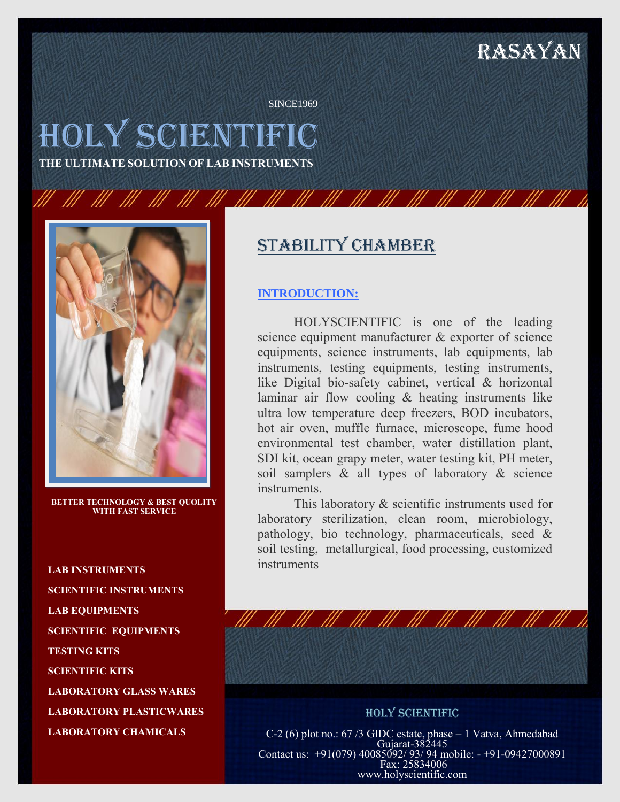# RASAYAN

SINCE1969

# HOLY SCIENTIFIC

**THE ULTIMATE SOLUTION OF LAB INSTRUMENTS**



**BETTER TECHNOLOGY & BEST QUOLITY WITH FAST SERVICE**

**LAB INSTRUMENTS SCIENTIFIC INSTRUMENTS LAB EQUIPMENTS SCIENTIFIC EQUIPMENTS TESTING KITS SCIENTIFIC KITS LABORATORY GLASS WARES LABORATORY PLASTICWARES LABORATORY CHAMICALS**

### Stability chamber

#### **INTRODUCTION:**

HOLYSCIENTIFIC is one of the leading science equipment manufacturer & exporter of science equipments, science instruments, lab equipments, lab instruments, testing equipments, testing instruments, like Digital bio-safety cabinet, vertical & horizontal laminar air flow cooling & heating instruments like ultra low temperature deep freezers, BOD incubators, hot air oven, muffle furnace, microscope, fume hood environmental test chamber, water distillation plant, SDI kit, ocean grapy meter, water testing kit, PH meter, soil samplers & all types of laboratory & science instruments.

This laboratory & scientific instruments used for laboratory sterilization, clean room, microbiology, pathology, bio technology, pharmaceuticals, seed & soil testing, metallurgical, food processing, customized instruments

HOLY SCIENTIFIC C-2 (6) plot no.: 67 /3 GIDC estate, phase – 1 Vatva, Ahmedabad Gujarat-382445 Contact us: +91(079) 40085092/ 93/ 94 mobile: - +91-09427000891 Fax: 25834006 www.holyscientific.com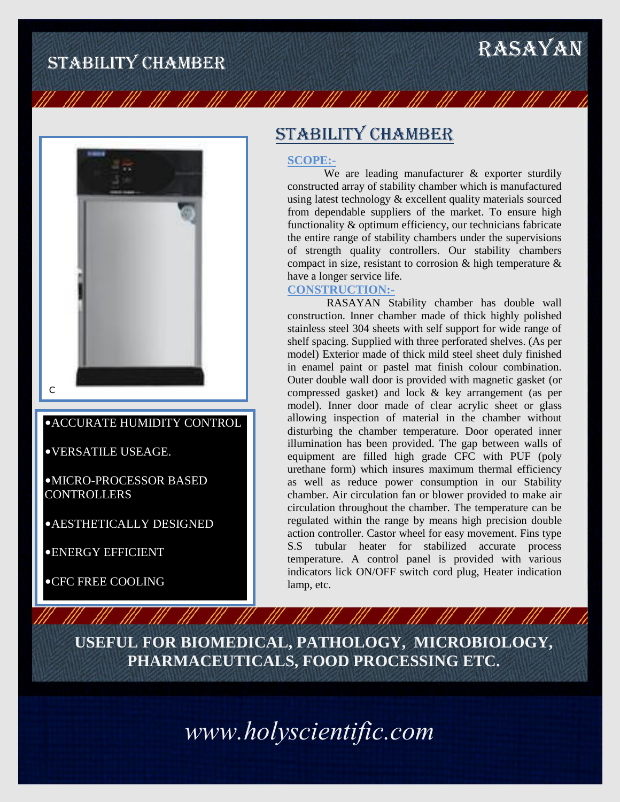# STABILITY CHAMBER RASAYAN



### •ACCURATE HUMIDITY CONTROL

•VERSATILE USEAGE.

•MICRO-PROCESSOR BASED **CONTROLLERS** 

•AESTHETICALLY DESIGNED

•ENERGY EFFICIENT

•CFC FREE COOLING

## Stability chamber

#### **SCOPE:-**

III - III - III - III

We are leading manufacturer & exporter sturdily constructed array of stability chamber which is manufactured using latest technology & excellent quality materials sourced from dependable suppliers of the market. To ensure high functionality & optimum efficiency, our technicians fabricate the entire range of stability chambers under the supervisions of strength quality controllers. Our stability chambers compact in size, resistant to corrosion & high temperature & have a longer service life.

### **CONSTRUCTION:-**

RASAYAN Stability chamber has double wall construction. Inner chamber made of thick highly polished stainless steel 304 sheets with self support for wide range of shelf spacing. Supplied with three perforated shelves. (As per model) Exterior made of thick mild steel sheet duly finished in enamel paint or pastel mat finish colour combination. Outer double wall door is provided with magnetic gasket (or compressed gasket) and lock & key arrangement (as per model). Inner door made of clear acrylic sheet or glass allowing inspection of material in the chamber without disturbing the chamber temperature. Door operated inner illumination has been provided. The gap between walls of equipment are filled high grade CFC with PUF (poly urethane form) which insures maximum thermal efficiency as well as reduce power consumption in our Stability chamber. Air circulation fan or blower provided to make air circulation throughout the chamber. The temperature can be regulated within the range by means high precision double action controller. Castor wheel for easy movement. Fins type S.S tubular heater for stabilized accurate process temperature. A control panel is provided with various indicators lick ON/OFF switch cord plug, Heater indication lamp, etc.

**USEFUL FOR BIOMEDICAL, PATHOLOGY, MICROBIOLOGY, PHARMACEUTICALS, FOOD PROCESSING ETC.**

*www.holyscientific.com*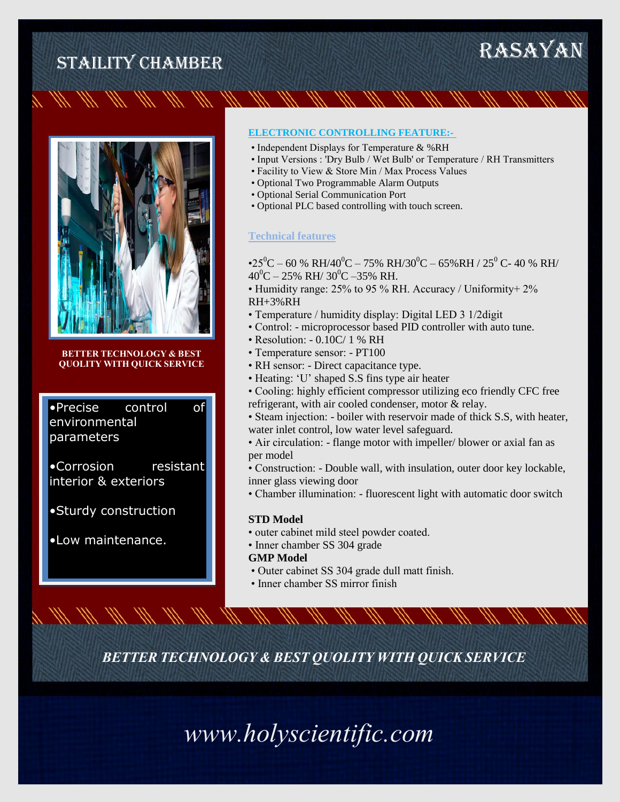



**BETTER TECHNOLOGY & BEST QUOLITY WITH QUICK SERVICE**

•Precise control of environmental parameters

•Corrosion resistant interior & exteriors

•Sturdy construction

•Low maintenance.

#### **ELECTRONIC CONTROLLING FEATURE:-**

- Independent Displays for Temperature & %RH
- Input Versions : 'Dry Bulb / Wet Bulb' or Temperature / RH Transmitters
- Facility to View & Store Min / Max Process Values
- Optional Two Programmable Alarm Outputs
- Optional Serial Communication Port
- Optional PLC based controlling with touch screen.

#### **Technical features**

•25<sup>0</sup>C – 60 % RH/40<sup>0</sup>C – 75% RH/30<sup>0</sup>C – 65% RH / 25<sup>0</sup> C- 40 % RH/  $40^{\circ}$ C – 25% RH/ 30<sup>°</sup>C –35% RH.

- Humidity range: 25% to 95 % RH. Accuracy / Uniformity+ 2% RH+3%RH
- Temperature / humidity display: Digital LED 3 1/2digit
- Control: microprocessor based PID controller with auto tune.
- Resolution: 0.10C/ 1 % RH
- Temperature sensor: PT100
- RH sensor: Direct capacitance type.
- Heating: 'U' shaped S.S fins type air heater
- Cooling: highly efficient compressor utilizing eco friendly CFC free refrigerant, with air cooled condenser, motor & relay.
- Steam injection: boiler with reservoir made of thick S.S, with heater, water inlet control, low water level safeguard.
- Air circulation: flange motor with impeller/ blower or axial fan as per model
- Construction: Double wall, with insulation, outer door key lockable, inner glass viewing door
- Chamber illumination: fluorescent light with automatic door switch

#### **STD Model**

- outer cabinet mild steel powder coated.
- Inner chamber SS 304 grade **GMP Model**
- Outer cabinet SS 304 grade dull matt finish.
- Inner chamber SS mirror finish

*BETTER TECHNOLOGY & BEST QUOLITY WITH QUICK SERVICE*

*www.holyscientific.com*